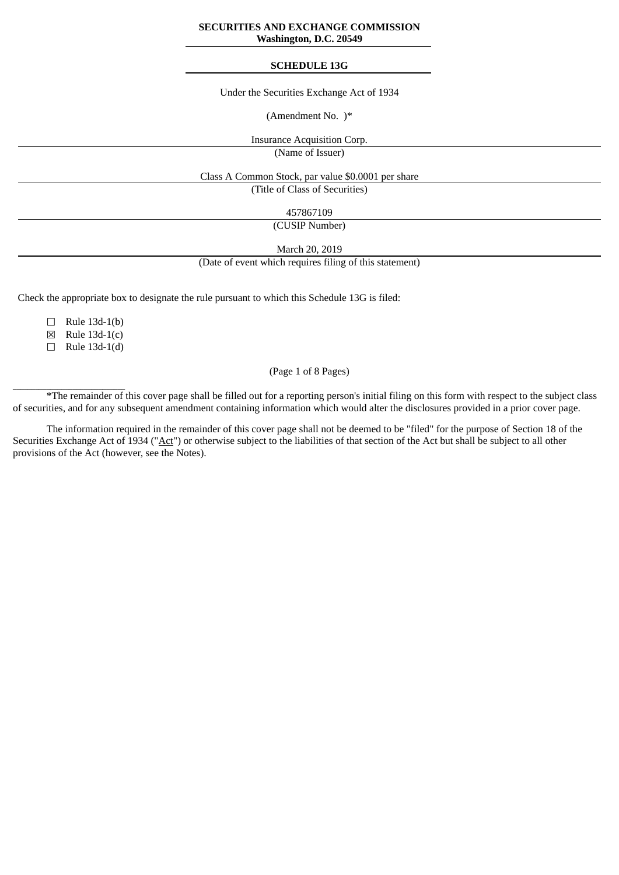#### **SECURITIES AND EXCHANGE COMMISSION Washington, D.C. 20549**

#### **SCHEDULE 13G**

Under the Securities Exchange Act of 1934

(Amendment No. )\*

Insurance Acquisition Corp.

(Name of Issuer)

Class A Common Stock, par value \$0.0001 per share

(Title of Class of Securities)

457867109

(CUSIP Number)

March 20, 2019

(Date of event which requires filing of this statement)

Check the appropriate box to designate the rule pursuant to which this Schedule 13G is filed:

☐ Rule 13d-1(b)

☒ Rule 13d-1(c)

 $\Box$  Rule 13d-1(d)

 $\frac{1}{2}$  ,  $\frac{1}{2}$  ,  $\frac{1}{2}$  ,  $\frac{1}{2}$  ,  $\frac{1}{2}$  ,  $\frac{1}{2}$  ,  $\frac{1}{2}$  ,  $\frac{1}{2}$  ,  $\frac{1}{2}$  ,  $\frac{1}{2}$  ,  $\frac{1}{2}$  ,  $\frac{1}{2}$  ,  $\frac{1}{2}$  ,  $\frac{1}{2}$  ,  $\frac{1}{2}$  ,  $\frac{1}{2}$  ,  $\frac{1}{2}$  ,  $\frac{1}{2}$  ,  $\frac{1$ 

#### (Page 1 of 8 Pages)

\*The remainder of this cover page shall be filled out for a reporting person's initial filing on this form with respect to the subject class of securities, and for any subsequent amendment containing information which would alter the disclosures provided in a prior cover page.

The information required in the remainder of this cover page shall not be deemed to be "filed" for the purpose of Section 18 of the Securities Exchange Act of 1934 ("Act") or otherwise subject to the liabilities of that section of the Act but shall be subject to all other provisions of the Act (however, see the Notes).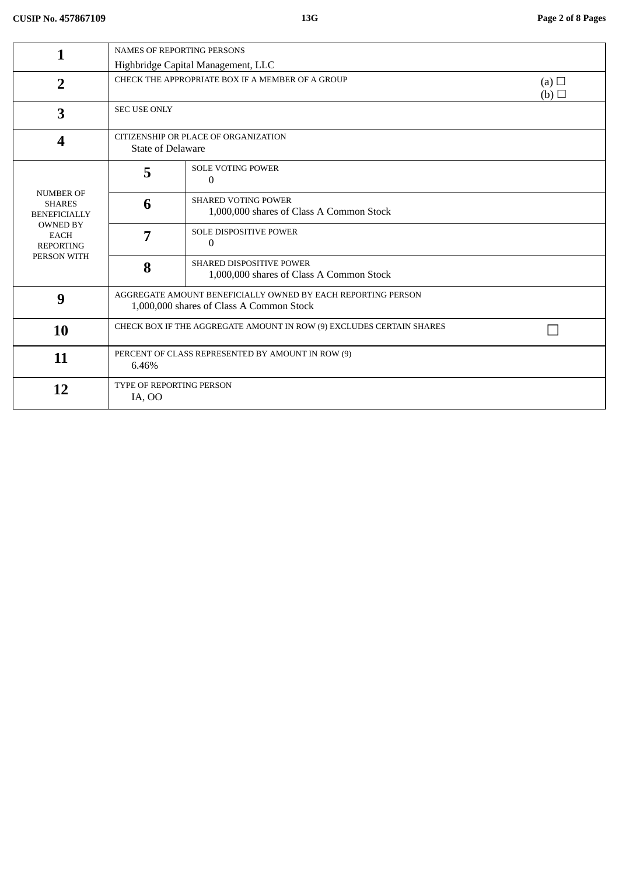|                                                                   | <b>NAMES OF REPORTING PERSONS</b>                                                                        |                                                                        |                   |
|-------------------------------------------------------------------|----------------------------------------------------------------------------------------------------------|------------------------------------------------------------------------|-------------------|
|                                                                   |                                                                                                          | Highbridge Capital Management, LLC                                     |                   |
| $\overline{2}$                                                    |                                                                                                          | CHECK THE APPROPRIATE BOX IF A MEMBER OF A GROUP                       | (a) $\Box$<br>(b) |
| 3                                                                 | <b>SEC USE ONLY</b>                                                                                      |                                                                        |                   |
| $\overline{\mathbf{4}}$                                           |                                                                                                          | CITIZENSHIP OR PLACE OF ORGANIZATION<br><b>State of Delaware</b>       |                   |
|                                                                   | 5                                                                                                        | <b>SOLE VOTING POWER</b><br>0                                          |                   |
| <b>NUMBER OF</b><br><b>SHARES</b><br><b>BENEFICIALLY</b>          | 6                                                                                                        | <b>SHARED VOTING POWER</b><br>1,000,000 shares of Class A Common Stock |                   |
| <b>OWNED BY</b><br><b>EACH</b><br><b>REPORTING</b><br>PERSON WITH | 7                                                                                                        | <b>SOLE DISPOSITIVE POWER</b><br>$\theta$                              |                   |
|                                                                   | 8                                                                                                        | SHARED DISPOSITIVE POWER<br>1,000,000 shares of Class A Common Stock   |                   |
| 9                                                                 | AGGREGATE AMOUNT BENEFICIALLY OWNED BY EACH REPORTING PERSON<br>1,000,000 shares of Class A Common Stock |                                                                        |                   |
| <b>10</b>                                                         | CHECK BOX IF THE AGGREGATE AMOUNT IN ROW (9) EXCLUDES CERTAIN SHARES                                     |                                                                        |                   |
| 11                                                                | PERCENT OF CLASS REPRESENTED BY AMOUNT IN ROW (9)<br>6.46%                                               |                                                                        |                   |
| 12                                                                | TYPE OF REPORTING PERSON<br>IA, OO                                                                       |                                                                        |                   |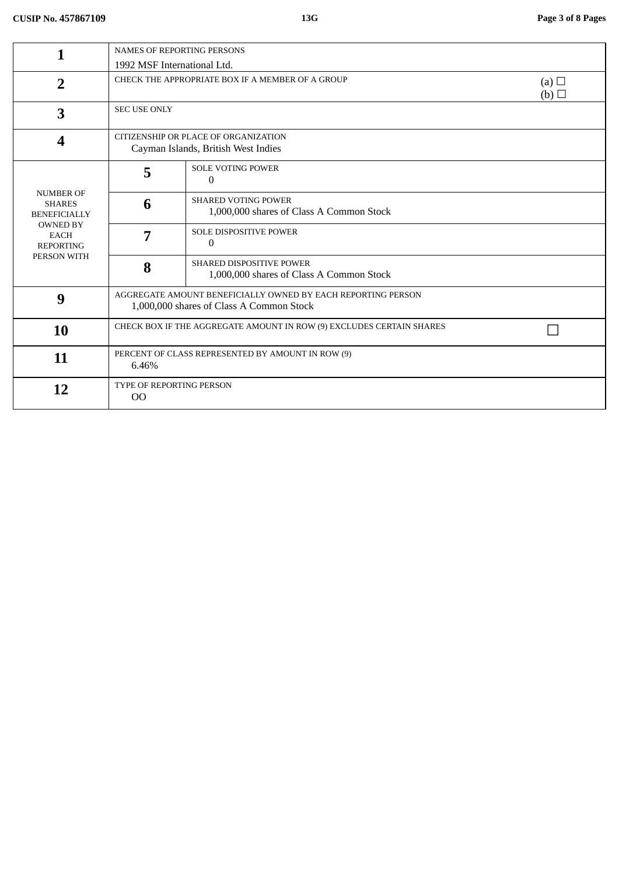|                                                                   | <b>NAMES OF REPORTING PERSONS</b>                                                                        |                                                                             |                   |
|-------------------------------------------------------------------|----------------------------------------------------------------------------------------------------------|-----------------------------------------------------------------------------|-------------------|
|                                                                   | 1992 MSF International Ltd.                                                                              |                                                                             |                   |
| $\overline{2}$                                                    | CHECK THE APPROPRIATE BOX IF A MEMBER OF A GROUP                                                         |                                                                             | (a) $\Box$<br>(b) |
| 3                                                                 | <b>SEC USE ONLY</b>                                                                                      |                                                                             |                   |
| 4                                                                 | CITIZENSHIP OR PLACE OF ORGANIZATION<br>Cayman Islands, British West Indies                              |                                                                             |                   |
|                                                                   | 5                                                                                                        | <b>SOLE VOTING POWER</b><br>$\mathbf{0}$                                    |                   |
| <b>NUMBER OF</b><br><b>SHARES</b><br><b>BENEFICIALLY</b>          | 6                                                                                                        | <b>SHARED VOTING POWER</b><br>1,000,000 shares of Class A Common Stock      |                   |
| <b>OWNED BY</b><br><b>EACH</b><br><b>REPORTING</b><br>PERSON WITH | 7                                                                                                        | <b>SOLE DISPOSITIVE POWER</b><br>$\Omega$                                   |                   |
|                                                                   | 8                                                                                                        | <b>SHARED DISPOSITIVE POWER</b><br>1,000,000 shares of Class A Common Stock |                   |
| 9                                                                 | AGGREGATE AMOUNT BENEFICIALLY OWNED BY EACH REPORTING PERSON<br>1,000,000 shares of Class A Common Stock |                                                                             |                   |
| 10                                                                | CHECK BOX IF THE AGGREGATE AMOUNT IN ROW (9) EXCLUDES CERTAIN SHARES                                     |                                                                             |                   |
| 11                                                                | PERCENT OF CLASS REPRESENTED BY AMOUNT IN ROW (9)<br>6.46%                                               |                                                                             |                   |
| 12                                                                | TYPE OF REPORTING PERSON<br>O <sub>O</sub>                                                               |                                                                             |                   |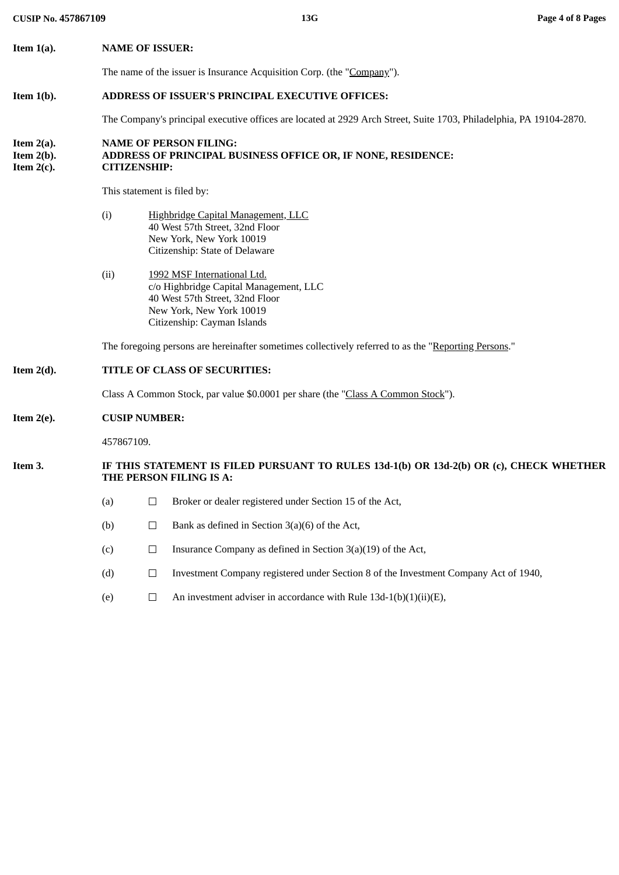| <b>CUSIP No. 457867109</b>                      |                                                                                  | 13G                                                                                                                                                                 | Page 4 of 8 Pages |
|-------------------------------------------------|----------------------------------------------------------------------------------|---------------------------------------------------------------------------------------------------------------------------------------------------------------------|-------------------|
| Item $1(a)$ .                                   | <b>NAME OF ISSUER:</b>                                                           |                                                                                                                                                                     |                   |
|                                                 |                                                                                  | The name of the issuer is Insurance Acquisition Corp. (the "Company").                                                                                              |                   |
| Item $1(b)$ .                                   |                                                                                  | ADDRESS OF ISSUER'S PRINCIPAL EXECUTIVE OFFICES:                                                                                                                    |                   |
|                                                 |                                                                                  | The Company's principal executive offices are located at 2929 Arch Street, Suite 1703, Philadelphia, PA 19104-2870.                                                 |                   |
| Item $2(a)$ .<br>Item $2(b)$ .<br>Item $2(c)$ . | <b>CITIZENSHIP:</b>                                                              | <b>NAME OF PERSON FILING:</b><br>ADDRESS OF PRINCIPAL BUSINESS OFFICE OR, IF NONE, RESIDENCE:                                                                       |                   |
|                                                 | This statement is filed by:                                                      |                                                                                                                                                                     |                   |
|                                                 | (i)                                                                              | Highbridge Capital Management, LLC<br>40 West 57th Street, 32nd Floor<br>New York, New York 10019<br>Citizenship: State of Delaware                                 |                   |
|                                                 | (ii)                                                                             | 1992 MSF International Ltd.<br>c/o Highbridge Capital Management, LLC<br>40 West 57th Street, 32nd Floor<br>New York, New York 10019<br>Citizenship: Cayman Islands |                   |
|                                                 |                                                                                  | The foregoing persons are hereinafter sometimes collectively referred to as the "Reporting Persons."                                                                |                   |
| Item $2(d)$ .                                   | TITLE OF CLASS OF SECURITIES:                                                    |                                                                                                                                                                     |                   |
|                                                 | Class A Common Stock, par value \$0.0001 per share (the "Class A Common Stock"). |                                                                                                                                                                     |                   |
| Item $2(e)$ .                                   | <b>CUSIP NUMBER:</b>                                                             |                                                                                                                                                                     |                   |
|                                                 | 457867109.                                                                       |                                                                                                                                                                     |                   |
| Item 3.                                         |                                                                                  | IF THIS STATEMENT IS FILED PURSUANT TO RULES 13d-1(b) OR 13d-2(b) OR (c), CHECK WHETHER<br>THE PERSON FILING IS A:                                                  |                   |
|                                                 | (a)<br>$\Box$                                                                    | Broker or dealer registered under Section 15 of the Act,                                                                                                            |                   |
|                                                 | (b)<br>$\Box$                                                                    | Bank as defined in Section $3(a)(6)$ of the Act,                                                                                                                    |                   |
|                                                 | (c)<br>$\Box$                                                                    | Insurance Company as defined in Section 3(a)(19) of the Act,                                                                                                        |                   |
|                                                 | (d)<br>$\Box$                                                                    | Investment Company registered under Section 8 of the Investment Company Act of 1940,                                                                                |                   |
|                                                 | (e)<br>$\Box$                                                                    | An investment adviser in accordance with Rule $13d-1(b)(1)(ii)(E)$ ,                                                                                                |                   |
|                                                 |                                                                                  |                                                                                                                                                                     |                   |
|                                                 |                                                                                  |                                                                                                                                                                     |                   |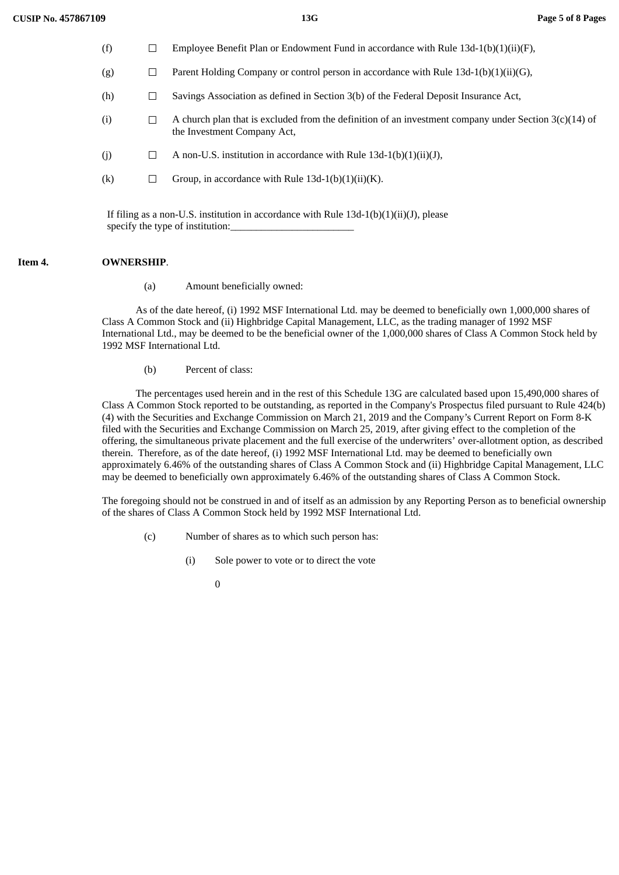$(f)$   $\Box$  Employee Benefit Plan or Endowment Fund in accordance with Rule 12d-1(b)(1)(ii)(F)

| (I)               | Employee Defient Plan of Endowment Pund in accordance with Kule 150-1(D)(1)(fi)(F),                                                    |
|-------------------|----------------------------------------------------------------------------------------------------------------------------------------|
| (g)               | Parent Holding Company or control person in accordance with Rule $13d-1(b)(1)(ii)(G)$ ,                                                |
| (h)               | Savings Association as defined in Section 3(b) of the Federal Deposit Insurance Act,                                                   |
| (i)               | A church plan that is excluded from the definition of an investment company under Section $3(c)(14)$ of<br>the Investment Company Act, |
| (j)               | A non-U.S. institution in accordance with Rule $13d-1(b)(1)(ii)(J)$ ,                                                                  |
| $\left( k\right)$ | Group, in accordance with Rule $13d-1(b)(1)(ii)(K)$ .                                                                                  |
|                   |                                                                                                                                        |

If filing as a non-U.S. institution in accordance with Rule  $13d-1(b)(1)(ii)(J)$ , please specify the type of institution:

#### **Item 4. OWNERSHIP**.

(a) Amount beneficially owned:

As of the date hereof, (i) 1992 MSF International Ltd. may be deemed to beneficially own 1,000,000 shares of Class A Common Stock and (ii) Highbridge Capital Management, LLC, as the trading manager of 1992 MSF International Ltd., may be deemed to be the beneficial owner of the 1,000,000 shares of Class A Common Stock held by 1992 MSF International Ltd.

(b) Percent of class:

The percentages used herein and in the rest of this Schedule 13G are calculated based upon 15,490,000 shares of Class A Common Stock reported to be outstanding, as reported in the Company's Prospectus filed pursuant to Rule 424(b) (4) with the Securities and Exchange Commission on March 21, 2019 and the Company's Current Report on Form 8-K filed with the Securities and Exchange Commission on March 25, 2019, after giving effect to the completion of the offering, the simultaneous private placement and the full exercise of the underwriters' over-allotment option, as described therein. Therefore, as of the date hereof, (i) 1992 MSF International Ltd. may be deemed to beneficially own approximately 6.46% of the outstanding shares of Class A Common Stock and (ii) Highbridge Capital Management, LLC may be deemed to beneficially own approximately 6.46% of the outstanding shares of Class A Common Stock.

The foregoing should not be construed in and of itself as an admission by any Reporting Person as to beneficial ownership of the shares of Class A Common Stock held by 1992 MSF International Ltd.

- (c) Number of shares as to which such person has:
	- (i) Sole power to vote or to direct the vote
		- 0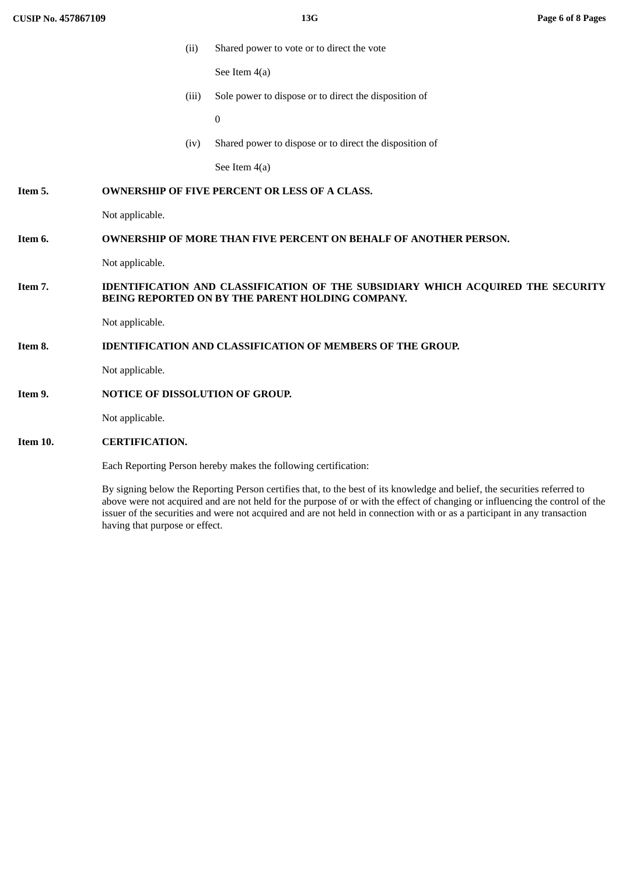(ii) Shared power to vote or to direct the vote

See Item 4(a)

(iii) Sole power to dispose or to direct the disposition of

0

(iv) Shared power to dispose or to direct the disposition of

See Item 4(a)

# **Item 5. OWNERSHIP OF FIVE PERCENT OR LESS OF A CLASS.**

Not applicable.

# **Item 6. OWNERSHIP OF MORE THAN FIVE PERCENT ON BEHALF OF ANOTHER PERSON.**

Not applicable.

# **Item 7. IDENTIFICATION AND CLASSIFICATION OF THE SUBSIDIARY WHICH ACQUIRED THE SECURITY BEING REPORTED ON BY THE PARENT HOLDING COMPANY.**

Not applicable.

#### **Item 8. IDENTIFICATION AND CLASSIFICATION OF MEMBERS OF THE GROUP.**

Not applicable.

#### **Item 9. NOTICE OF DISSOLUTION OF GROUP.**

Not applicable.

# **Item 10. CERTIFICATION.**

Each Reporting Person hereby makes the following certification:

By signing below the Reporting Person certifies that, to the best of its knowledge and belief, the securities referred to above were not acquired and are not held for the purpose of or with the effect of changing or influencing the control of the issuer of the securities and were not acquired and are not held in connection with or as a participant in any transaction having that purpose or effect.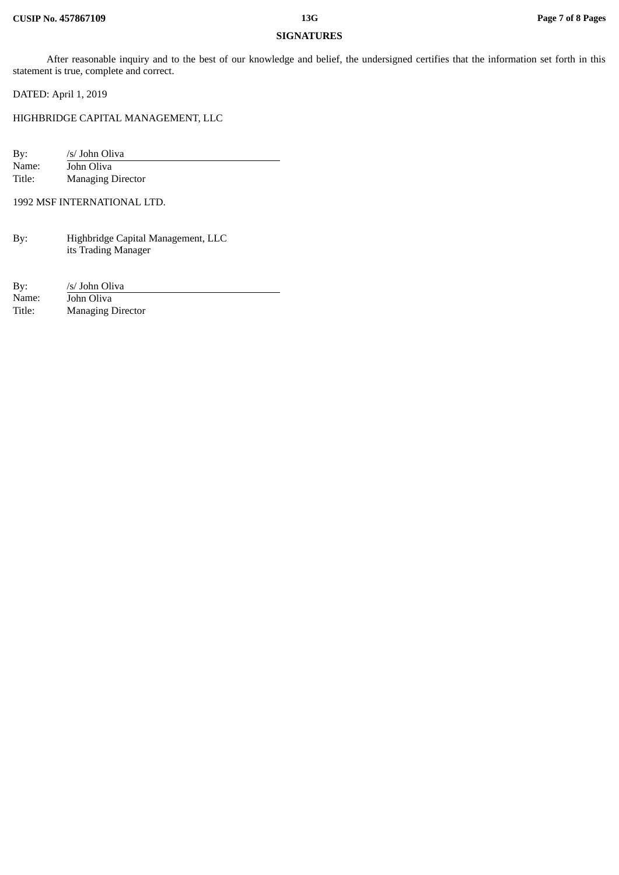# **SIGNATURES**

After reasonable inquiry and to the best of our knowledge and belief, the undersigned certifies that the information set forth in this statement is true, complete and correct.

DATED: April 1, 2019

HIGHBRIDGE CAPITAL MANAGEMENT, LLC

| By:    | /s/ John Oliva           |
|--------|--------------------------|
| Name:  | John Oliva               |
| Title: | <b>Managing Director</b> |

1992 MSF INTERNATIONAL LTD.

| By: | Highbridge Capital Management, LLC |
|-----|------------------------------------|
|     | its Trading Manager                |

| By:    | /s/ John Oliva           |
|--------|--------------------------|
| Name:  | John Oliva               |
| Title: | <b>Managing Director</b> |